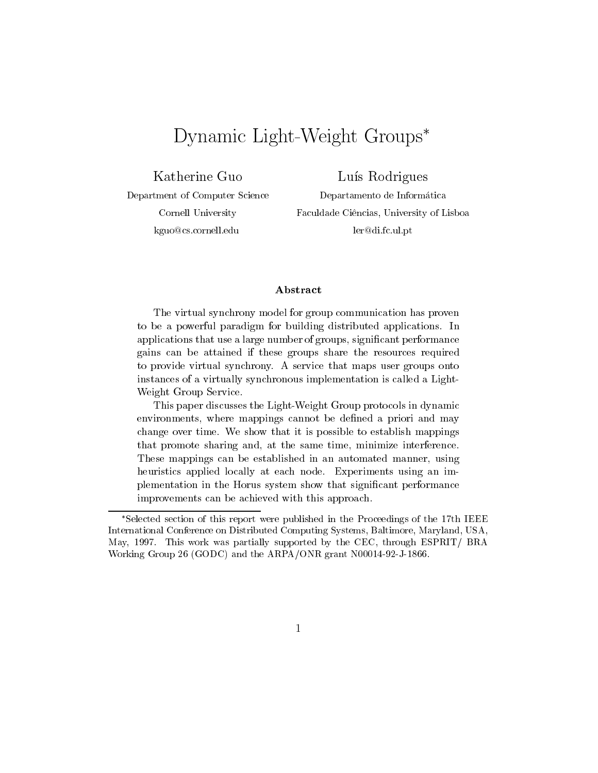# Dynamic Light-Weight Groups

Katherine Guo

Department of Computer Science Cornell University kguo@cs.cornell.edu

Lus Rodrigues Departamento de Informatica Faculdade Ciências, University of Lisboa ler@di.fc.ul.pt

### Abstract

The virtual synchrony model for group communication has proven to be a powerful paradigm for building distributed applications. In applications that use a large number of groups, signicant performance gains can be attained if these groups share the resources required to provide virtual synchrony. A service that maps user groups onto instances of a virtually synchronous implementation is called a Light-Weight Group Service.

This paper discusses the Light-Weight Group protocols in dynamic environments, where mappings cannot be defined a priori and may change over time. We show that it is possible to establish mappings that promote sharing and, at the same time, minimize interference. These mappings can be established in an automated manner, using heuristics applied locally at each node. Experiments using an implementation in the Horus system show that signicant performance improvements can be achieved with this approach.

Selected section of this report were published in the Proceedings of the 17th IEEE International Conference on Distributed Computing Systems, Baltimore, Maryland, USA, May, 1997. This work was partially supported by the CEC, through ESPRIT/ BRA Working Group 26 (GODC) and the ARPA/ONR grant N00014-92-J-1866.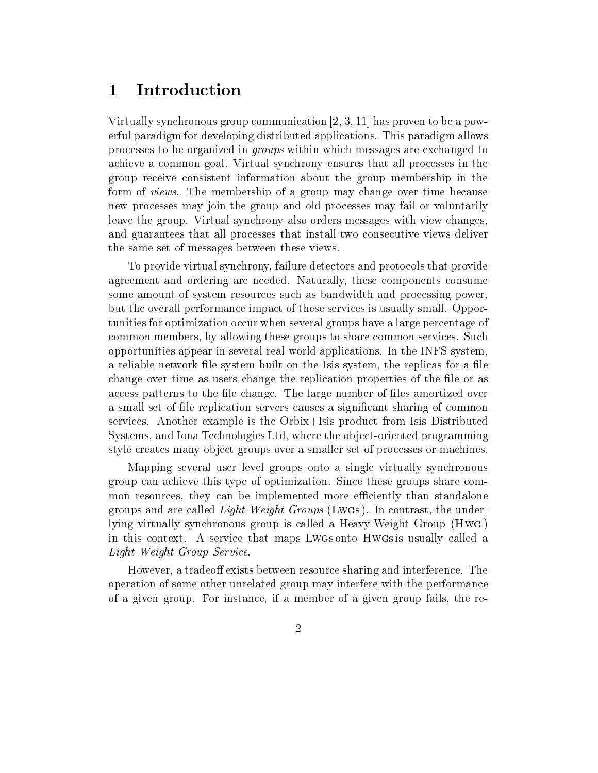### 1Introduction

Virtually synchronous group communication [2, 3, 11] has proven to be a powerful paradigm for developing distributed applications. This paradigm allows processes to be organized in groups within which messages are exchanged to achieve a common goal. Virtual synchrony ensures that all processes in the group receive consistent information about the group membership in the form of views. The membership of a group may change over time because new processes may join the group and old processes may fail or voluntarily leave the group. Virtual synchrony also orders messages with view changes, and guarantees that all processes that install two consecutive views deliver the same set of messages between these views.

To provide virtual synchrony, failure detectors and protocols that provide agreement and ordering are needed. Naturally, these components consume some amount of system resources such asbandwidth and processing power, but the overall performance impact of these services is usually small. Opportunities for optimization occur when several groups have a large percentage of common members, by allowing these groups to share common services. Such opportunities appear in several real-world applications. In the INFS system, a reliable network file system built on the Isis system, the replicas for a file change over time as users change the replication properties of the file or as access patterns to the file change. The large number of files amortized over a small set of file replication servers causes a significant sharing of common services. Another example is the Orbix+Isis product from Isis Distributed Systems, and Iona Technologies Ltd, where the object-oriented programming style creates many object groups over a smaller set of processes or machines.

Mapping several user level groups onto a single virtually synchronous group can achieve this type of optimization. Since these groups share common resources, they can be implemented more efficiently than standalone groups and are called *Light-Weight Groups* (Lwgs). In contrast, the underlying virtually synchronous group is called a Heavy-Weight Group (Hwg ) in this context. A service that maps Lwgs onto Hwgs is usually called a Light-Weight Group Service.

However, a tradeoff exists between resource sharing and interference. The operation of some other unrelated group may interfere with the performance of a given group. For instance, if a member of a given group fails, the re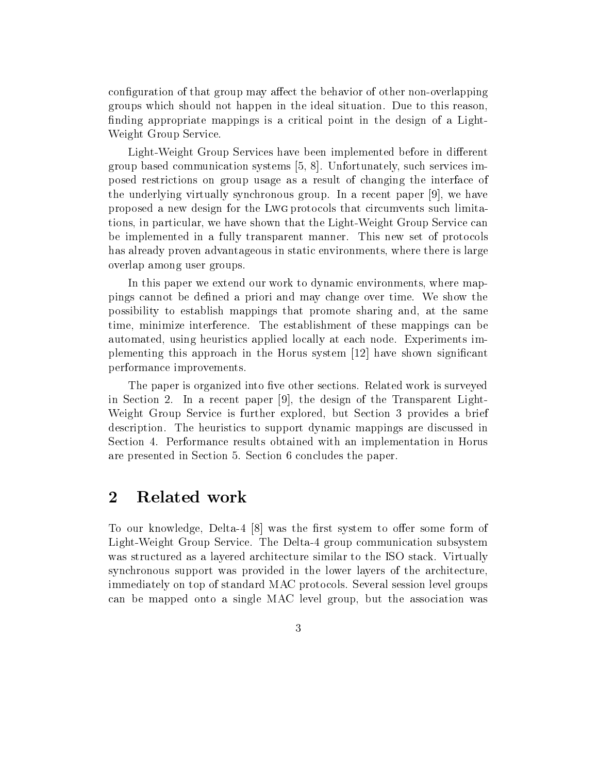configuration of that group may affect the behavior of other non-overlapping groups which should not happen in the ideal situation. Due to this reason, finding appropriate mappings is a critical point in the design of a Light-Weight Group Service.

Light-Weight Group Services have been implemented before in different group based communication systems [5, 8]. Unfortunately, such services imposed restrictions on group usage as a result of changing the interface of the underlying virtually synchronous group. In a recent paper [9], we have proposed a new design for the Lwg protocols that circumvents such limitations, in particular, we have shown that the Light-Weight Group Service can be implemented in a fully transparent manner. This new set of protocols has already proven advantageous in static environments, where there is large overlap among user groups.

In this paper we extend our work to dynamic environments, where mappings cannot be defined a priori and may change over time. We show the possibility to establish mappings that promote sharing and, at the same time, minimize interference. The establishment of these mappings can be automated, using heuristics applied locally at each node. Experiments implementing this approach in the Horus system [12] have shown signicant performance improvements.

The paper is organized into five other sections. Related work is surveyed in Section 2. In a recent paper [9], the design of the Transparent Light-Weight Group Service is further explored, but Section 3 provides a brief description. The heuristics to support dynamic mappings are discussed in Section 4. Performance results obtained with an implementation in Horus are presented in Section 5. Section 6 concludes the paper.

### 2Related work

To our knowledge, Delta-4  $[8]$  was the first system to offer some form of Light-Weight Group Service. The Delta-4 group communication subsystem was structured as a layered architecture similar to the ISO stack. Virtually synchronous support was provided in the lower layers of the architecture, immediately on top of standard MAC protocols. Several session level groups can be mapped onto a single MAC level group, but the association was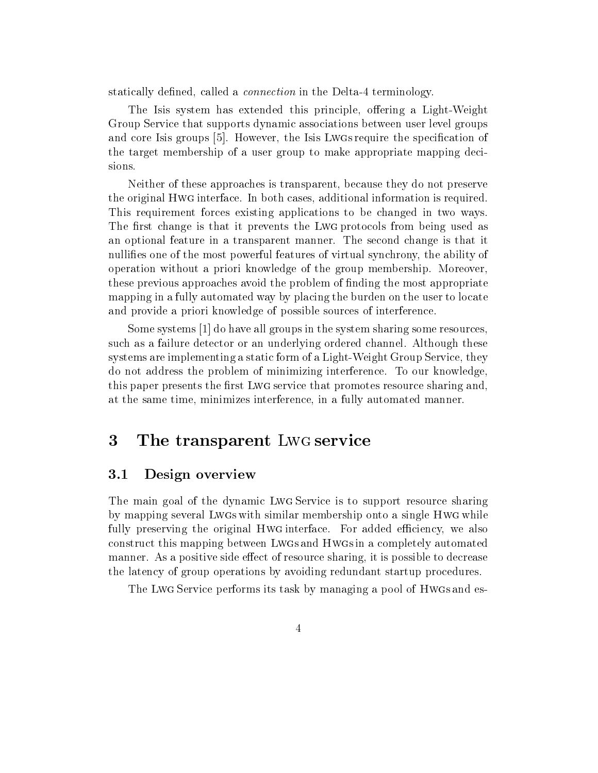statically defined, called a *connection* in the Delta-4 terminology.

The Isis system has extended this principle, offering a Light-Weight Group Service that supports dynamic associations between user level groups and core Isis groups [5]. However, the Isis Lwgs require the specification of the target membership of a user group to make appropriate mapping decisions.

Neither of these approaches is transparent, because they do not preserve the original Hwg interface. In both cases, additional information is required. This requirement forces existing applications to be changed in two ways. The first change is that it prevents the Lwg protocols from being used as an optional feature in a transparent manner. The second change is that it nullifies one of the most powerful features of virtual synchrony, the ability of operation without a priori knowledge of the group membership. Moreover, these previous approaches avoid the problem of finding the most appropriate mapping in a fully automated way by placing the burden on the user to locate and provide a priori knowledge of possible sources of interference.

Some systems [1] do have all groups in the system sharing some resources, such as a failure detector or an underlying ordered channel. Although these systems are implementing a static form of a Light-Weight Group Service, they do not address the problem of minimizing interference. To our knowledge, this paper presents the first Lwg service that promotes resource sharing and, at the same time, minimizes interference, in a fully automated manner.

#### 3The transparent Lwg service

#### Design overview 3.1

The main goal of the dynamic Lwg Service is to support resource sharing by mapping several Lwgs with similar membership onto a single Hwg while fully preserving the original HwG interface. For added efficiency, we also construct this mapping between Lwgs and Hwgs in a completely automated manner. As a positive side effect of resource sharing, it is possible to decrease the latency of group operations by avoiding redundant startup procedures.

The Lwg Service performs its task by managing a pool of Hwgs and es-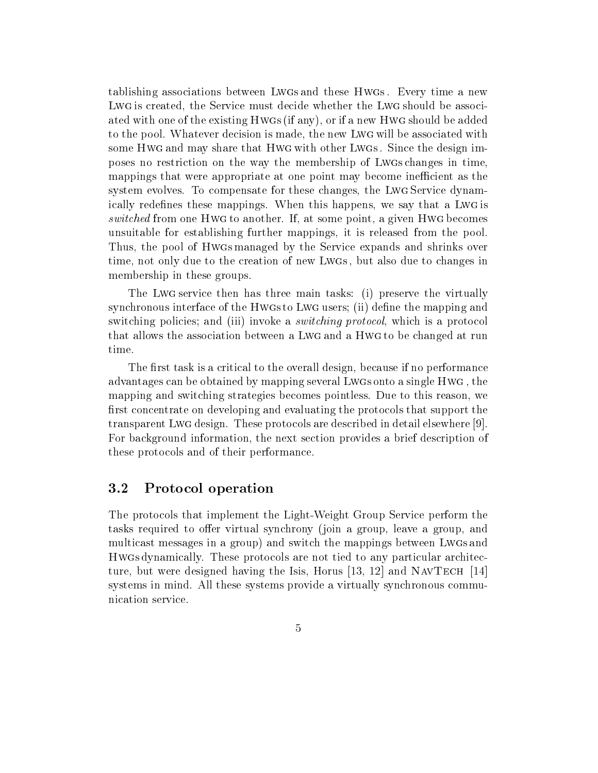tablishing associations between Lwgs and these Hwgs . Every time a new Lwg is created, the Service must decide whether the Lwg should be associated with one of the existing Hwgs (if any), or if a new Hwg should be added to the pool. Whatever decision is made, the new Lwg will be associated with some Hwg and may share that Hwg with other Lwgs . Since the design imposes no restriction on the way the membership of Lwgs changes in time, mappings that were appropriate at one point may become inefficient as the system evolves. To compensate for these changes, the Lwg Service dynamically redefines these mappings. When this happens, we say that a Lwg is switched from one Hwg to another. If, at some point, a given Hwg becomes unsuitable for establishing further mappings, it is released from the pool. Thus, the pool of Hwgs managed by the Service expands and shrinks over time, not only due to the creation of new Lwgs, but also due to changes in membership in these groups.

The Lwg service then has three main tasks: (i) preserve the virtually synchronous interface of the Hwgs to Lwg users; (ii) define the mapping and switching policies; and (iii) invoke a *switching protocol*, which is a protocol that allows the association between a Lwg and a Hwg to be changed at run time.

The first task is a critical to the overall design, because if no performance advantages can be obtained by mapping several Lwgs onto a single Hwg , the mapping and switching strategies becomes pointless. Due to this reason, we first concentrate on developing and evaluating the protocols that support the transparent Lwg design. These protocols are described in detail elsewhere [9]. For background information, the next section provides a brief description of these protocols and of their performance.

### 3.2 Protocol operation

The protocols that implement the Light-Weight Group Service perform the tasks required to offer virtual synchrony (join a group, leave a group, and multicast messages in a group) and switch the mappings between Lwgs and Hwgs dynamically. These protocols are not tied to any particular architecture, but were designed having the Isis, Horus  $[13, 12]$  and NAVTECH  $[14]$ systems in mind. All these systems provide a virtually synchronous communication service.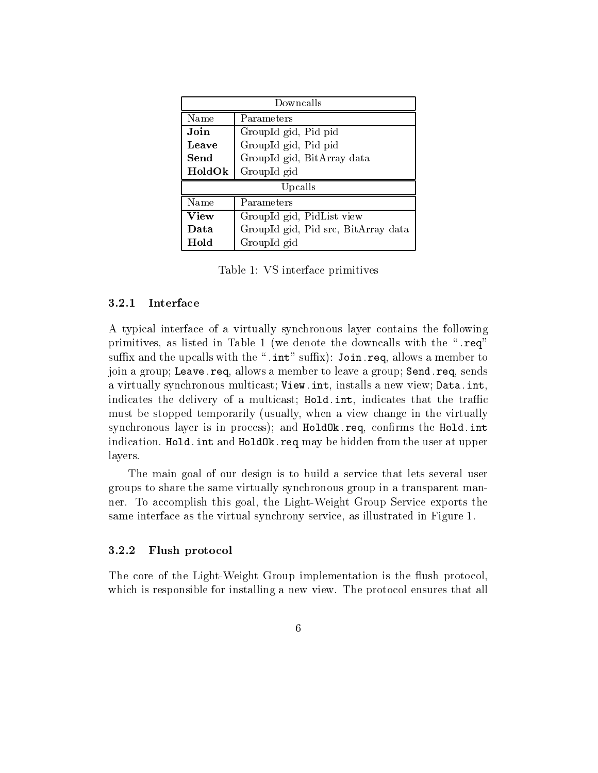| Downcalls   |                                     |
|-------------|-------------------------------------|
| Name        | Parameters                          |
| Join        | GroupId gid, Pid pid                |
| Leave       | GroupId gid, Pid pid                |
| Send        | GroupId gid, BitArray data          |
| HoldOk      | GroupId gid                         |
| Upcalls     |                                     |
| Name        | Parameters                          |
| <b>View</b> | GroupId gid, PidList view           |
| Data        | GroupId gid, Pid src, BitArray data |
| Hold        | GroupId gid                         |

Table 1: VS interface primitives

#### 3.2.1Interface

A typical interface of a virtually synchronous layer contains the following primitives, as listed in Table 1 (we denote the downcalls with the ".req" suffix and the upcalls with the ".int" suffix): Join.req, allows a member to join a group; Leave.req, allows a member to leave a group; Send.req, sends a virtually synchronous multicast; View.int, installs a new view; Data.int, indicates the delivery of a multicast; Hold. int, indicates that the traffic must be stopped temporarily (usually, when a view change in the virtually synchronous layer is in process); and HoldOk.req, confirms the Hold.int indication. Hold. int and HoldOk.req may be hidden from the user at upper layers.

The main goal of our design is to build a service that lets several user groups to share the same virtually synchronous group in a transparent manner. To accomplish this goal, the Light-Weight Group Service exports the same interface as the virtual synchrony service, as illustrated in Figure 1.

#### 3.2.2Flush protocol

The core of the Light-Weight Group implementation is the flush protocol which is responsible for installing a new view. The protocol ensures that all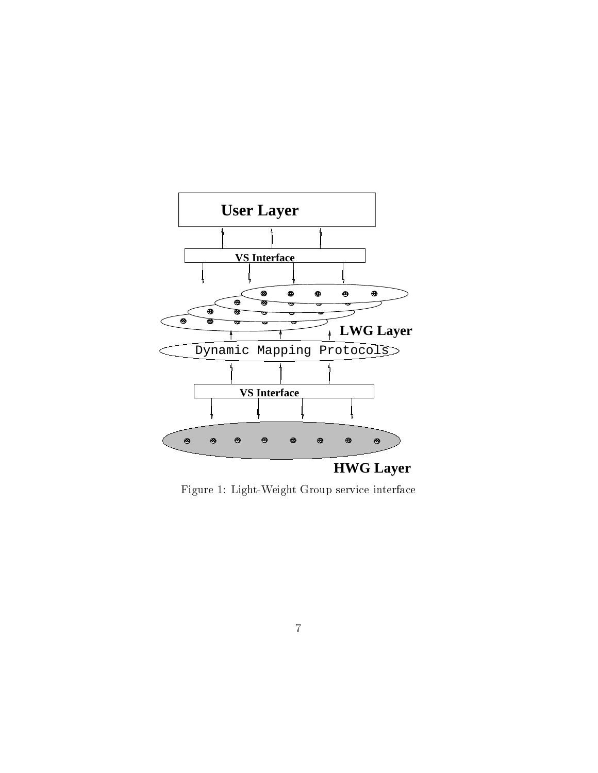

Figure 1: Light-Weight Group service interface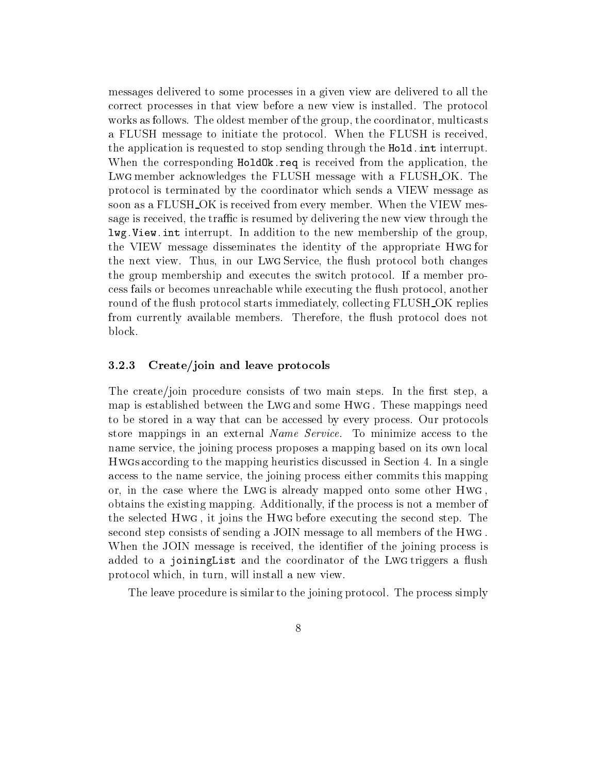messages delivered to some processes in a given view are delivered to all the correct processes in that view before a new view is installed. The protocol works as follows. The oldest member of the group, the coordinator, multicasts a FLUSH message to initiate the protocol. When the FLUSH is received, the application is requested to stop sending through the Hold.int interrupt. When the corresponding HoldOk.req is received from the application, the Lwg member acknowledges the FLUSH message with a FLUSH OK. The protocol is terminated by the coordinator which sends a VIEW message as soon as a FLUSH<sub>-</sub>OK is received from every member. When the VIEW message is received, the traffic is resumed by delivering the new view through the lwg.View.int interrupt. In addition to the new membership of the group, the VIEW message disseminates the identity of the appropriate Hwg for the next view. Thus, in our Lwg Service, the flush protocol both changes the group membership and executes the switch protocol. If a member process fails or becomes unreachable while executing the flush protocol, another round of the flush protocol starts immediately, collecting FLUSH\_OK replies from currently available members. Therefore, the flush protocol does not block.

#### 3.2.3Create/join and leave protocols

The create/join procedure consists of two main steps. In the first step, a map is established between the Lwg and some Hwg . These mappings need to be stored in a way that can be accessed by every process. Our protocols store mappings in an external Name Service. To minimize access to the name service, the joining process proposes a mapping based on its own local Hwgs according to the mapping heuristics discussed in Section 4. In a single access to the name service, the joining process either commits this mapping or, in the case where the Lwg is already mapped onto some other Hwg , obtains the existing mapping. Additionally, if the process is not a member of the selected Hwg , it joins the Hwg before executing the second step. The second step consists of sending a JOIN message to all members of the Hwg . When the JOIN message is received, the identifier of the joining process is added to a joining List and the coordinator of the Lwg triggers a flush protocol which, in turn, will install a new view.

The leave procedure is similar to the joining protocol. The process simply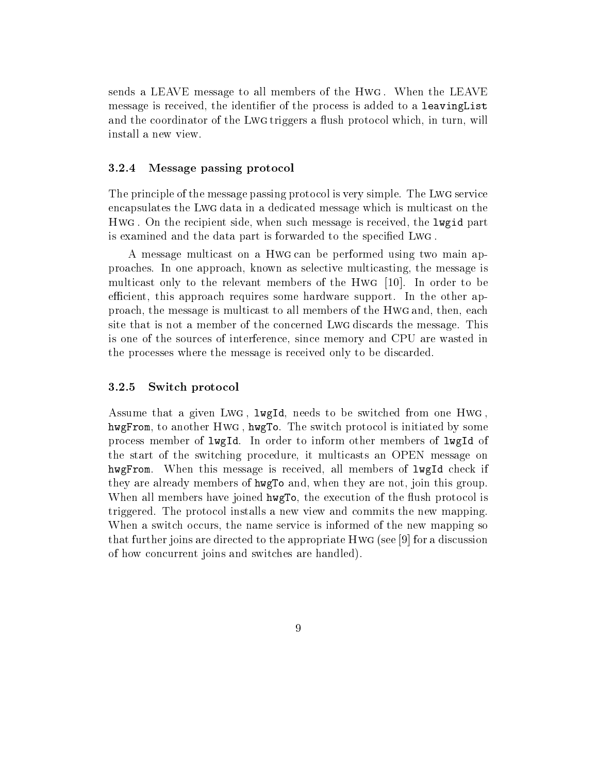sends a LEAVE message to all members of the Hwg . When the LEAVE message is received, the identifier of the process is added to a leaving List and the coordinator of the Lwg triggers a flush protocol which, in turn, will install a new view.

#### 3.2.4Message passing protocol

The principle of the message passing protocol is very simple. The Lwg service encapsulates the Lwg data in a dedicated message which is multicast on the  $\ldots$  . On the recipient side, when such message is received, the largest part  $\ldots$ is examined and the data part is forwarded to the specied Lwg .

A message multicast on a Hwg can be performed using two main approaches. In one approach, known as selective multicasting, the message is multicast only to the relevant members of the Hwg [10]. In order to be efficient, this approach requires some hardware support. In the other approach, the message is multicast to all members of the Hwg and, then, each site that is not a member of the concerned Lwg discards the message. This is one of the sources of interference, since memory and CPU are wasted in the processes where the message is received only to be discarded.

#### 3.2.5Switch protocol

Assume that a given Lwg , lwgId, needs to be switched from one Hwg , hwgFrom, to another Hwg , hwgTo. The switch protocol is initiated by some process member of lwgId. In order to inform other members of lwgId of the start of the switching procedure, it multicasts an OPEN message on hwgFrom. When this message is received, all members of lwgId check if they are already members of hwgTo and, when they are not, join this group. When all members have joined hwgTo, the execution of the flush protocol is triggered. The protocol installs a new view and commits the new mapping. When a switch occurs, the name service is informed of the new mapping so that further joins are directed to the appropriate Hwg (see [9] for a discussion of how concurrent joins and switches are handled).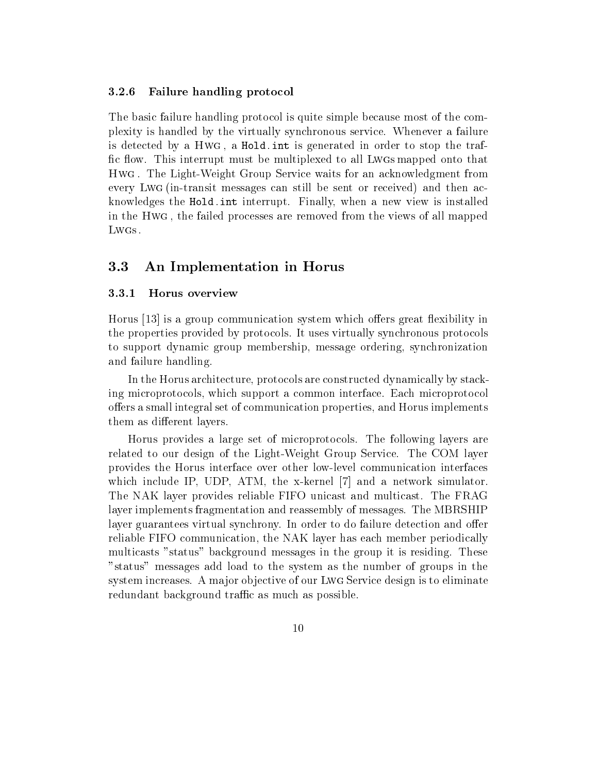#### 3.2.6Failure handling protocol

The basic failure handling protocol is quite simple because most of the complexity is handled by the virtually synchronous service. Whenever a failure is detected by a Hwg , a Hold.int is generated in order to stop the traf fic flow. This interrupt must be multiplexed to all Lwgs mapped onto that Hwg . The Light-Weight Group Service waits for an acknowledgment from every Lwg (in-transit messages can still be sent or received) and then acknowledges the Hold.int interrupt. Finally, when a new view is installed in the Hwg , the failed processes are removed from the views of all mapped Lwgs.

## 3.3 An Implementation in Horus

#### 3.3.1Horus overview

Horus  $\vert 13 \vert$  is a group communication system which offers great flexibility in the properties provided by protocols. It uses virtually synchronous protocols to support dynamic group membership, message ordering, synchronization and failure handling.

In the Horus architecture, protocols are constructed dynamically by stacking microprotocols, which support a common interface. Each microprotocol offers a small integral set of communication properties, and Horus implements them as different layers.

Horus provides a large set of microprotocols. The following layers are related to our design of the Light-Weight Group Service. The COM layer provides the Horus interface over other low-level communication interfaces which include IP, UDP, ATM, the x-kernel [7] and a network simulator. The NAK layer provides reliable FIFO unicast and multicast. The FRAG layer implements fragmentation and reassembly of messages. The MBRSHIP layer guarantees virtual synchrony. In order to do failure detection and offer reliable FIFO communication, the NAK layer has each member periodically multicasts "status" background messages in the group it is residing. These "status" messages add load to the system as the number of groups in the system increases. A major objective of our Lwg Service design is to eliminate redundant background traffic as much as possible.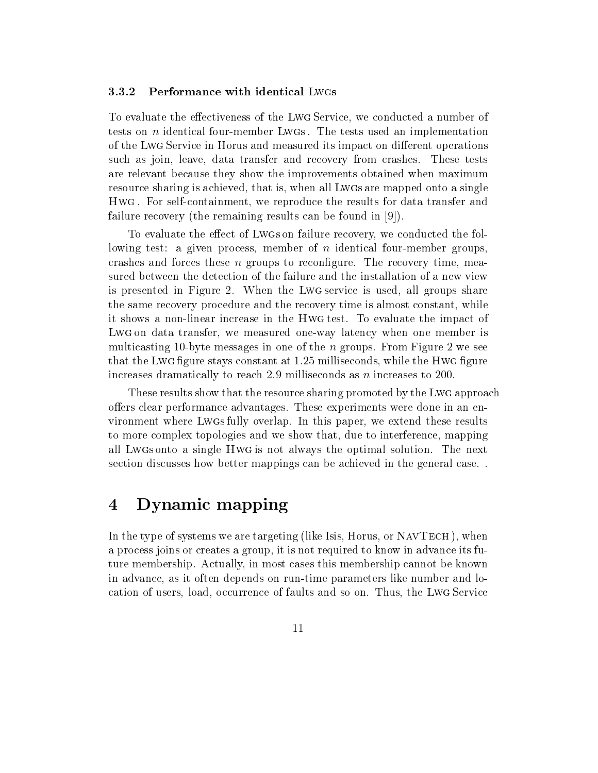#### 3.3.2Performance with identical Lwgs

To evaluate the effectiveness of the Lwg Service, we conducted a number of tests on n identical four-member Lwgs . The tests used an implementation of the Lwg Service in Horus and measured its impact on different operations such as join, leave, data transfer and recovery from crashes. These tests are relevant because they show the improvements obtained when maximum resource sharing is achieved, that is, when all Lwgs are mapped onto a single Hwg . For self-containment, we reproduce the results for data transfer and failure recovery (the remaining results can be found in [9]).

To evaluate the effect of Lwgs on failure recovery, we conducted the following test: a given process, member of n identical four-member groups, crashes and forces these  $n$  groups to reconfigure. The recovery time, measured between the detection of the failure and the installation of a new view is presented in Figure 2.When the Lwg service is used, all groups share the same recovery procedure and the recovery time is almost constant, while it shows a non-linear increase in the Hwg test. To evaluate the impact of  $\Box$  . We derive transfer, we measured transfer int, we measured when  $\Box$  is the member is  $\Box$ multicasting 10-byte messages in one of the  $n$  groups. From Figure 2 we see that the Lwg figure stays constant at 1.25 milliseconds, while the Hwg figure increases dramatically to reach 2.9 milliseconds as  $n$  increases to 200.

These results show that the resource sharing promoted by the Lwg approach offers clear performance advantages. These experiments were done in an environment where Lwgs fully overlap. In this paper, we extend these results to more complex topologies and we show that, due to interference, mapping all Lwgs onto a single Hwg is not always the optimal solution. The next section discusses how better mappings can be achieved in the general case. .

### 4Dynamic mapping

In the type of systems we are targeting (like Isis, Horus, or NAVTECH), when a process joins or creates a group, it is not required to know in advance its future membership. Actually, in most cases this membership cannot be known in advance, as it often depends on run-time parameters like number and location of users, load, occurrence of faults and so on.Thus, the Lwg Service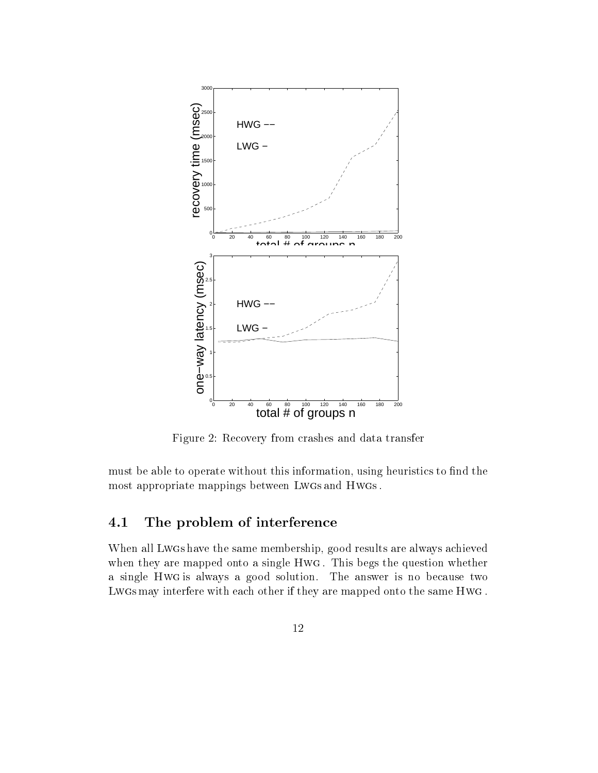

Figure 2: Recovery from crashes and data transfer

must be able to operate without this information, using heuristics to find the most appropriate mappings between LwGs and HwGs.

# 4.1 The problem of interference

When all Lwgs have the same membership, good results are always achieved when they are mapped onto a single Hwg . This begs the question whether a single Hwg is always a good solution. The answer is no because two Lwgs may interfere with each other if they are mapped onto the same Hwg .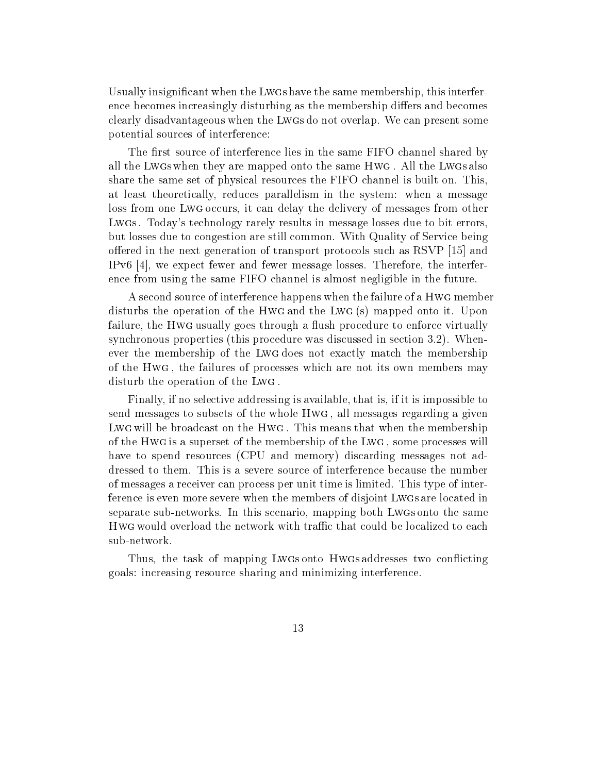Usually insignicant when the Lwgs have the same membership, this interference becomes increasingly disturbing as the membership differs and becomes clearly disadvantageous when the Lwgs do not overlap. We can present some potential sources of interference:

The first source of interference lies in the same FIFO channel shared by all the Lwgs when they are mapped onto the same Hwg . All the Lwgs also share the same set of physical resources the FIFO channelis built on. This, at least theoretically, reduces parallelism in the system: when a message loss from one Lwg occurs, it can delay the delivery of messages from other Lwgs . Today's technology rarely results in message losses due to bit errors, but losses due to congestion are still common. With Quality of Service being offerred in the next generation of transport protocols such as RSVP  $[15]$  and IPv6  $[4]$ , we expect fewer and fewer message losses. Therefore, the interference from using the same FIFO channel is almost negligible in the future.

A second source of interference happens when the failure of a Hwg member disturbs the operation of the Hwg and the Lwg (s) mapped onto it. Upon failure, the Hwg usually goes through a flush procedure to enforce virtually synchronous properties (this procedure was discussed in section 3.2). Whenever the membership of the Lwg does not exactly match the membership of the Hwg , the failures of processes which are not its own members may disturb the operation of the Lwg .

Finally, if no selective addressing is available, that is, if it is impossible to send messages to subsets of the whole Hwg , all messages regarding a given  $\Box$  . This be broadcast on the Hotel that  $\Box$  . This means that when the means that  $\Box$ of the Hwg is a superset of the membership of the Lwg , some processes will have to spend resources (CPU and memory) discarding messages not addressed to them. This is a severe source of interference because the number of messages a receiver can process per unit time is limited. This type of interference is even more severe when the members of disjoint Lwgs are located in separate sub-networks. In this scenario, mapping both Lwgs onto the same sub-network.

Thus, the task of mapping Lwgs onto Hwgs addresses two conflicting goals: increasing resource sharing and minimizing interference.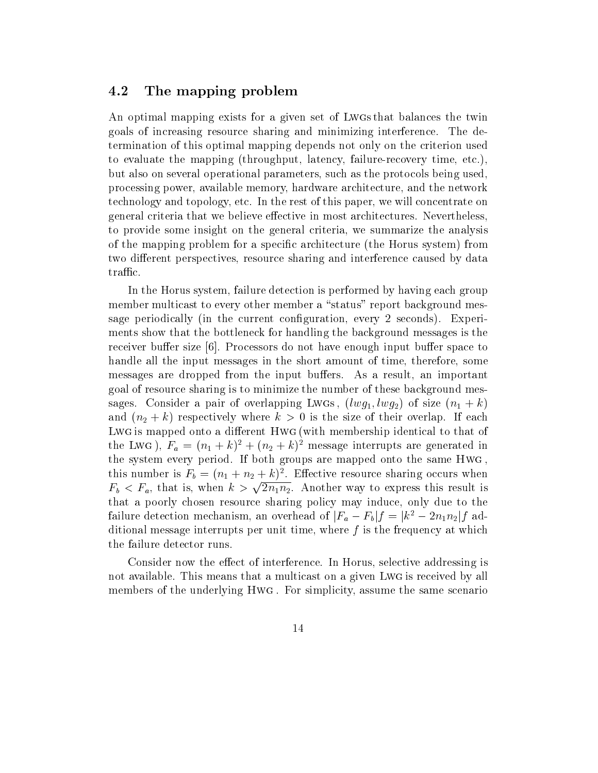### 4.2 The mapping problem

An optimal mapping exists for a given set of Lwgs that balances the twin goals of increasing resource sharing and minimizing interference. The determination of this optimal mapping depends not only on the criterion used to evaluate the mapping (throughput, latency, failure-recovery time, etc.), but also on several operational parameters, such as the protocols being used, processing power, available memory, hardware architecture, and the network technology and topology, etc. In the rest of this paper, we will concentrate on general criteria that we believe effective in most architectures. Nevertheless, to provide some insight on the general criteria, we summarize the analysis of the mapping problem for a specific architecture (the Horus system) from two different perspectives, resource sharing and interference caused by data traffic.

In the Horus system, failure detection is performed by having each group member multicast to every other member a "status" report background message periodically (in the current conguration, every 2 seconds). Experiments show that the bottleneck for handling the background messages is the receiver buffer size  $[6]$ . Processors do not have enough input buffer space to handle all the input messages in the short amount of time, therefore, some messages are dropped from the input buffers. As a result, an important goal of resource sharing is to minimize the number of these background messages. Consider a pair of overlapping Lwgs,  $(lwg_1, lwg_2)$  of size  $(n_1 + k)$ and  $(n_2 + k)$  respectively where  $k > 0$  is the size of their overlap. If each Lwg is mapped onto a dierent Hwg (with membership identical to that of the LwG),  $F_a = (n_1 + \kappa)^2 + (n_2 + \kappa)^2$  message interrupts are generated in the system every period. If both groups are mapped onto the same Hwg , this number is  $r_b = (n_1 + n_2 + \kappa)^2$ . Elective resource sharing occurs when  $F_b < F_a$ , that is, when  $k > \sqrt{2n_1 n_2}$ . Another way to express this result is that a poorly chosen resource sharing policy may induce, only due to the failure detection mechanism, an overhead of  $|F_a - F_b|f = |k^2 - 2n_1n_2|f$  additional message interrupts per unit time, where  $f$  is the frequency at which the failure detector runs.

Consider now the effect of interference. In Horus, selective addressing is not available. This means that a multicast on a given Lwg is received by all members of the underlying Hwg . For simplicity, assume the same scenario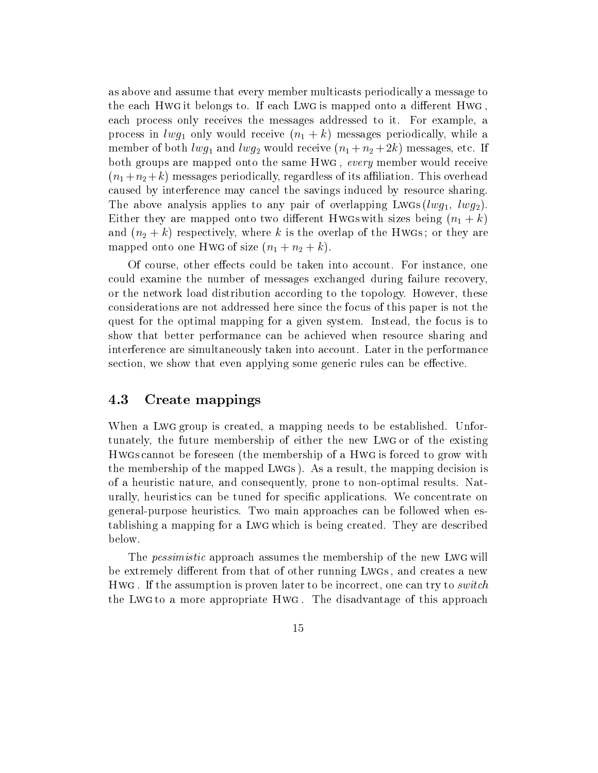as above and assume that every member multicasts periodically a message to the each Hwg it belongs to. If each Lwg is mapped onto a different Hwg, each process only receives the messages addressed to it. For example, a process in  $lwg_1$  only would receive  $(n_1 + k)$  messages periodically, while a member of both  $lwg_1$  and  $lwg_2$  would receive  $(n_1 + n_2 + 2k)$  messages, etc. If both groups are mapped onto the same Hwg, every member would receive  $(n_1+n_2 +k)$  messages periodically, regardless of its affiliation. This overhead caused by interference may cancel the savings induced by resource sharing. The above analysis applies to any pair of overlapping Lwgs  $(lwg_1, lwg_2)$ . Either they are mapped onto two different Hwgs with sizes being  $(n_1 + k)$ and  $(n_2 + k)$  respectively, where k is the overlap of the Hwgs; or they are mapped onto one Hwg of size  $(n_1 + n_2 + k)$ .

Of course, other effects could be taken into account. For instance, one could examine the number of messages exchanged during failure recovery, or the network load distribution according to the topology. However, these considerations are not addressed here since the focus of this paper is not the quest for the optimal mapping for a given system. Instead, the focus is to show that better performance can be achieved when resource sharing and interference are simultaneously taken into account. Later in the performance section, we show that even applying some generic rules can be effective.

### 4.3 Create mappings

When a Lwg group is created, a mapping needs to be established. Unfortunately, the future membership of either the new Lwg or of the existing Hwgs cannot be foreseen (the membership of a Hwg is forced to grow with the membership of the mapped Lwgs ). As a result, the mapping decision is of a heuristic nature, and consequently, prone to non-optimal results. Naturally, heuristics can be tuned for specic applications. We concentrate on general-purpose heuristics. Two main approaches can be followed when establishing a mapping for a Lwg which is being created. They are described below.

The *pessimistic* approach assumes the membership of the new LwG will be extremely different from that of other running Lwgs, and creates a new he . If the and containing them it proves inter to be incorrect, one can try to switch. the Lwg to a more appropriate Hwg . The disadvantage of this approach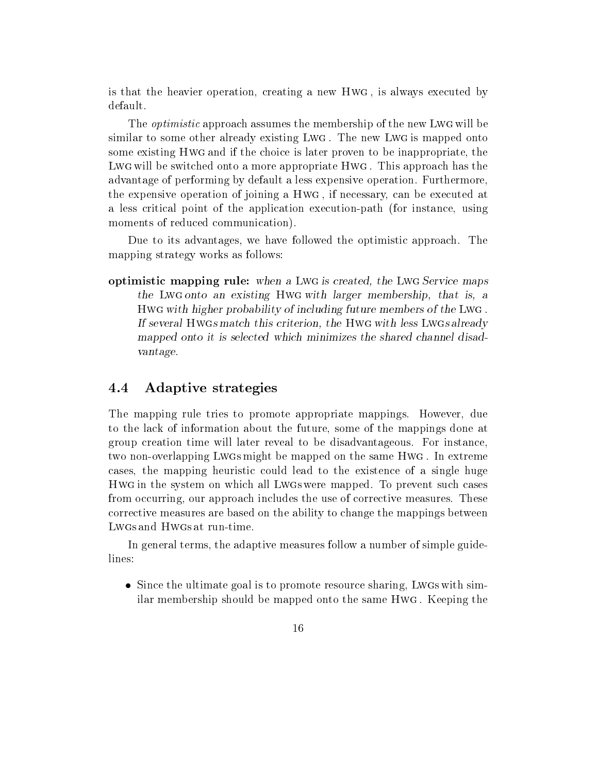is that the heavier operation, creating a new Hwg , is always executed by default.

The optimistic approach assumes the membership of the new Lwg will be similar to some other already existing Lwg . The new Lwg is mapped onto some existing Hwg and if the choice is later proven to be inappropriate, the Less a will be switched onto a more appropriate Hwg . This approach has the view advantage of performing by default a less expensive operation. Furthermore, the expensive operation of joining a Hwg , if necessary, can be executed at a less critical point of the application execution-path (for instance, using moments of reduced communication).

Due to its advantages, we have followed the optimistic approach. The mapping strategy works as follows:

optimistic mapping rule: when a Lwg is created, the Lwg Service maps of the Lwg Service maps of the Lwg Service the Lwg on the Lwg with Lwg with larger membership, the company of the that is, and is, and is, and is, and is Hwg with higher probability of including future members of the Lwg . If several Hwgs match this criterion, the Hwg with less Lwgs already mapped on the state is selected which minimizes the shared channel disaders the shared channel disaders the sh vantage.

### 4.4 Adaptive strategies

The mapping rule tries to promote appropriate mappings. However, due to the lack of information about the future, some of the mappings done at group creation time will later reveal to be disadvantageous. For instance, two non-overlapping Lwgs might be mapped on the same Hwg . In extreme cases, the mapping heuristic could lead to the existence of a single huge Hwg in the system on which all Lwgs were mapped. To prevent such cases from occurring, our approach includes the use of corrective measures. These corrective measures are based on the ability to change the mappings between Lwgs and Hwgs at run-time.

In general terms, the adaptive measures follow a number of simple guidelines:

• Since the ultimate goal is to promote resource sharing, Lwgs with similar membership should be mapped onto the same Hwg . Keeping the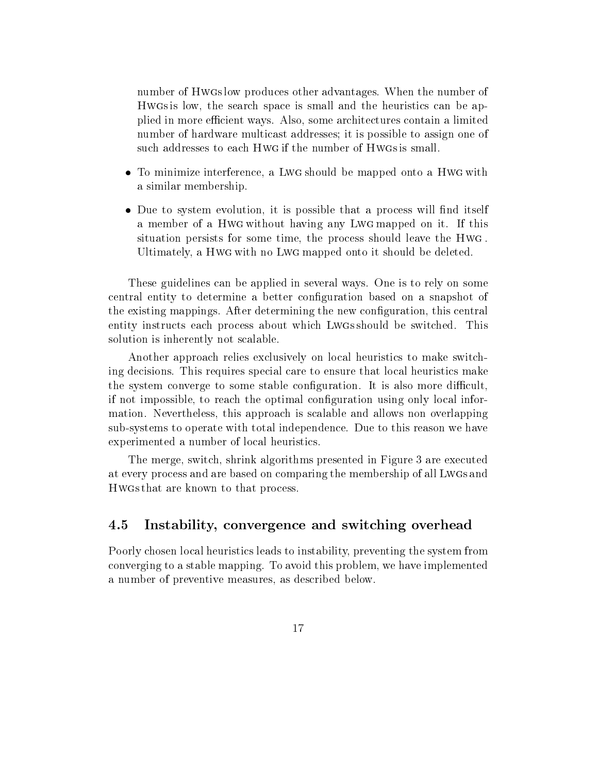number of Hwgs low produces other advantages. When the number of Hwgs is low, the search space is small and the heuristics can be applied in more efficient ways. Also, some architectures contain a limited number of hardware multicast addresses; it is possible to assign one of such addresses to each Hwg if the number of Hwgs is small.

- To minimize interference, a Lwg should be mapped onto a Hwg with a similar membership.
- Due to system evolution, it is possible that a process will find itself a member of a Hwg without having any Lwg mapped on it. If this situation persists for some time, the process should leave the Hwg . Ultimately, a Hwg with no Lwg mapped onto it should be deleted.

These guidelines can be applied in several ways. One is to rely on some central entity to determine a better conguration based on a snapshot of the existing mappings. After determining the new conguration, this central entity instructs each process about which Lwgs should be switched. This solution is inherently not scalable.

Another approach relies exclusively on local heuristics to make switching decisions. This requires special care to ensure that local heuristics make the system converge to some stable configuration. It is also more difficult. if not impossible, to reach the optimal conguration using only local information. Nevertheless, this approach is scalable and allows non overlapping sub-systems to operate with total independence. Due to this reason we have experimented a number of local heuristics.

The merge, switch, shrink algorithms presented in Figure 3 are executed at every process and are based on comparing the membership of all Lwgs and Hwgs that are known to that process.

#### 4.5 Instability, convergence and switching overhead

Poorly chosen local heuristics leads to instability, preventing the system from converging to a stable mapping. To avoid this problem, we have implemented a number of preventive measures, as described below.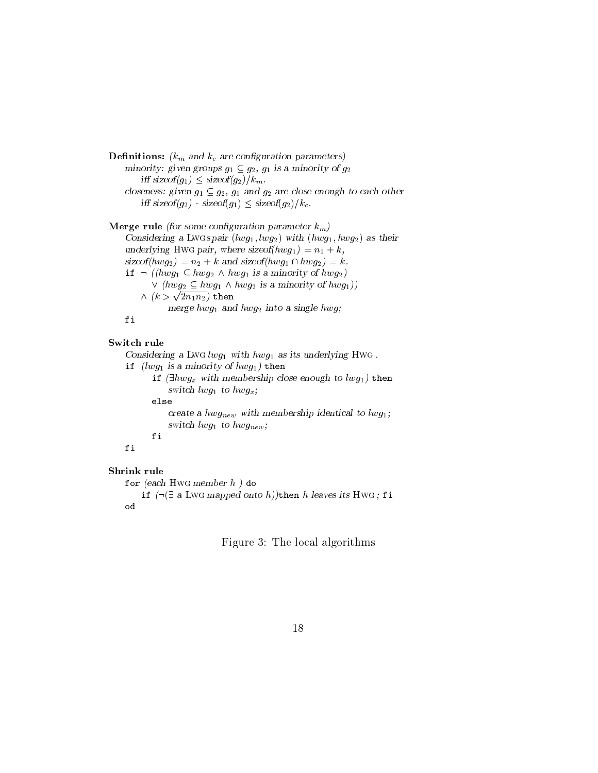```
Demitions: \kappa_m and \kappa_c are comiguration parameters)
    minority. given groups g_1 \subseteq g_2, g_1 is a minority of g_2iff sizeof(g_1) \leq sizeof(g_2)/k_m.
    closeness. given g_1 \subseteq g_2, g_1 and g_2 are close enough to each other
         iff sizeof(g<sub>2</sub>) - sizeof(g<sub>1</sub>) \leq sizeof(g<sub>2</sub>)/k<sub>c</sub>.
```

```
Netge rule (for some comiguration parameter \kappa_m)
     Considering a Lwgs pair (u \psi_1, w \psi_2) with (u \psi_1, u \psi_2) as then
     underlying H wG pair, where size u_1(u_1w_1) = u_1 + \kappa,
    sizeof(hwg_2) = n_2 + k and sizeof(hwg_1 \cap hwg_2)= k.
     if \lnot (hwg_1 \subseteq hwg_2 \land hwg_1 is a minority of hwg_2)
             \vee (hwg<sub>2</sub> \subseteq hwg<sub>1</sub> \wedge hwg<sub>2</sub> is a minority of hwg<sub>1</sub>))
          \wedge\ (k>\sqrt{2n_1n_2}) then
                   \max_{\mathbf{y}} \mathbf{y} = \max_{\mathbf{y}} \mathbf{y} and \max_{\mathbf{y}} \mathbf{y} = \max_{\mathbf{y}} \mathbf{y}
```
### Switch rule

Considering a Lwg $\iota$ wg<sub>1</sub> with hwg<sub>1</sub> as its underlying Hwg. if  $(lwg_1$  is a minority of  $hwg_1$ ) then if  $(\exists hwg_x \text{ with membership close enough to } lwg_1)$  then switch later  $\mathcal{S}_1$  to the  $\mathcal{S}_2$   $\mathcal{S}_3$   $\mathcal{S}_4$  , the holometric state  $\mathcal{S}_4$ else create a  $\mu w g_{new}$  with membership identical to  $\mu w g_1$ , switch later  $\mathcal{L}_{1}$  to the first later  $\mathcal{L}_{2}$ fi fi

### Shrink rule

```
for (each Hwg member h ) do
```

```
if (\neg \exists a LWG mapped onto h))then h leaves its HWG; fi
od
```
Figure 3: The local algorithms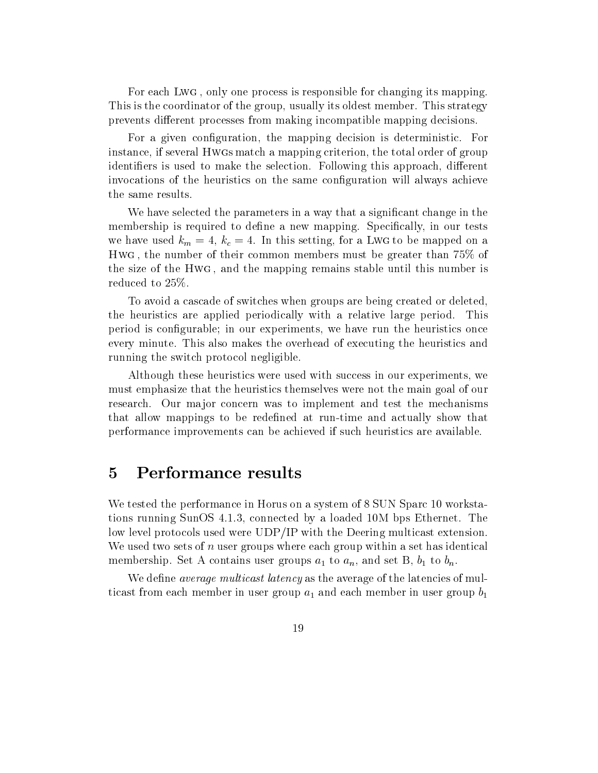For each Lwg , only one process is responsible for changing its mapping. This is the coordinator of the group, usually its oldest member. This strategy prevents different processes from making incompatible mapping decisions.

For a given conguration, the mapping decision is deterministic. For instance, if several Hwgs match a mapping criterion, the total order of group identifiers is used to make the selection. Following this approach, different invocations of the heuristics on the same configuration will always achieve the same results.

We have selected the parameters in a way that a signicant change in the membership is required to define a new mapping. Specifically, in our tests we have used  $k_m = 4$ ,  $k_c = 4$ . In this setting, for a LwG to be mapped on a  $\ldots$  , the maximum of the distribution members of members at greater than 75% of  $\ldots$ the size of the Hwg , and the mapping remains stable until this number is reduced to 25%.

To avoid a cascade of switches when groups are being created or deleted, the heuristics are applied periodically with a relative large period. This period is congurable; in our experiments, we have run the heuristics once every minute. This also makes the overhead of executing the heuristics and running the switch protocol negligible.

Although these heuristics were used with success in our experiments, we must emphasize that the heuristics themselves were not the main goal of our research. Our major concern was to implement and test the mechanisms that allow mappings to be redened at run-time and actually show that performance improvements can be achieved if such heuristics are available.

We tested the performance in Horus on a system of 8 SUN Sparc 10 workstations running SunOS 4.1.3, connected by a loaded 10M bps Ethernet. The low level protocols used were UDP/IP with the Deering multicast extension. We used two sets of  $n$  user groups where each group within a set has identical membership. Set A contains user groups  $a_1$  to  $a_n$ , and set B,  $b_1$  to  $b_n$ .

We define *average multicast latency* as the average of the latencies of multicast from each member in user group  $a_1$  and each member in user group  $b_1$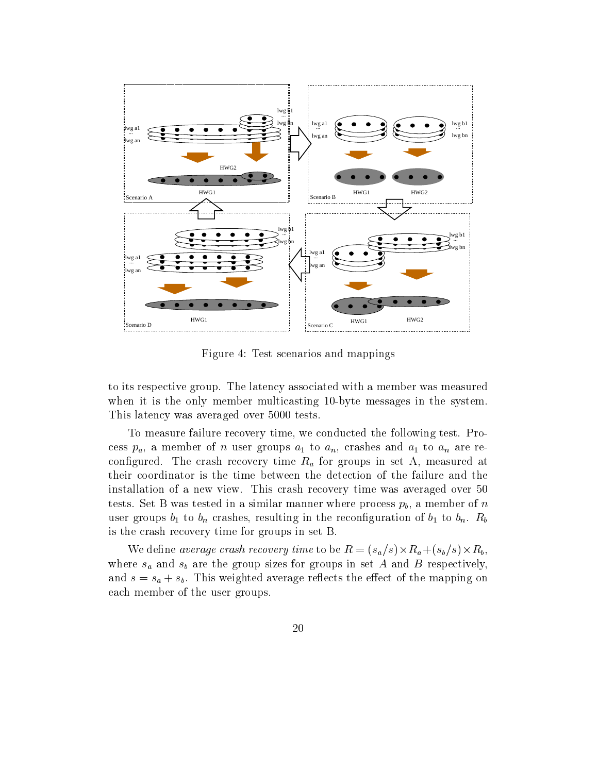

Figure 4: Test scenarios and mappings

to its respective group. The latency associated with a member was measured when it is the only member multicasting 10-byte messages in the system. This latency was averaged over 5000 tests.

To measure failure recovery time, we conducted the following test. Process  $p_a$ , a member of *n* user groups  $a_1$  to  $a_n$ , crashes and  $a_1$  to  $a_n$  are reconfigured. The crash recovery time  $R_a$  for groups in set A, measured at their coordinator is the time between the detection of the failure and the installation of a new view. This crash recovery time was averaged over 50 tests. Set B was tested in a similar manner where process  $p_b$ , a member of n user groups  $b_1$  to  $b_n$  crashes, resulting in the reconfiguration of  $b_1$  to  $b_n$ .  $R_b$ is the crash recovery time for groups in set B.

where the crash recovery time to be recovered to be R = (sample, section of the suppliers of the SU). where  $s_a$  and  $s_b$  are the group sizes for groups in set A and B respectively, and  $s = s_a + s_b$ . This weighted average reflects the effect of the mapping on each member of the user groups.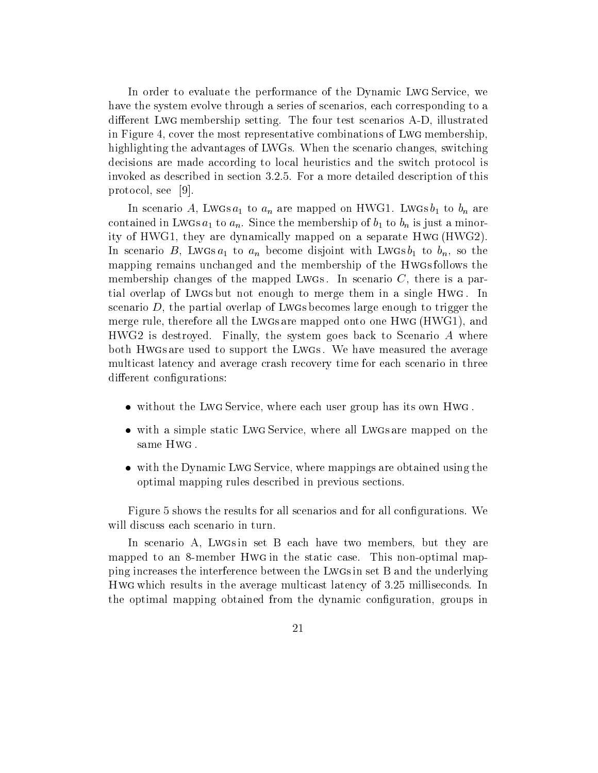In order to evaluate the performance of the Dynamic Lwg Service, we have the system evolve through a series of scenarios, each corresponding to a different Lwg membership setting. The four test scenarios A-D, illustrated in Figure 4, cover the most representative combinations of Lwg membership, highlighting the advantages of LWGs. When the scenario changes, switching decisions are made according to local heuristics and the switch protocol is invoked as described in section 3.2.5. For a more detailed description of this protocol, see [9].

In scenario A, Lwgs  $a_1$  to  $a_n$  are mapped on HWG1. Lwgs  $b_1$  to  $b_n$  are contained in Lwgs  $a_1$  to  $a_n$ . Since the membership of  $b_1$  to  $b_n$  is just a minority of HWG1, they are dynamically mapped on a separate HwG (HWG2). In scenario B, Lwgs  $a_1$  to  $a_n$  become disjoint with Lwgs  $b_1$  to  $b_n$ , so the mapping remains unchanged and the membership of the Hwgs follows the membership changes of the mapped Lwgs. In scenario  $C$ , there is a partial overlap of Lwgs but not enough to merge them in a single Hwg . In scenario  $D$ , the partial overlap of Lwgs becomes large enough to trigger the merge rule, therefore all the Lwgs are mapped onto one Hwg (HWG1), and HWG2 is destroyed. Finally, the system goes back to Scenario A where both Hwgs are used to support the Lwgs . We have measured the average multicast latency and average crash recovery time for each scenario in three different configurations:

- without the Lwg Service, where each user group has its own Hwg .
- with a simple static Lwg Service, where all Lwgs are mapped on the same Hwg .
- with the Dynamic Lwg Service, where mappings are obtained using the optimal mapping rules described in previous sections.

Figure 5 shows the results for all scenarios and for all configurations. We will discuss each scenario in turn.

In scenario A, Lwgs in set B each have two members, but they are mapped to an 8-member Hwg in the static case. This non-optimal mapping increases the interference between the Lwgs in set B and the underlying Hwg which results in the average multicast latency of 3.25 milliseconds. In the optimal mapping obtained from the dynamic conguration, groups in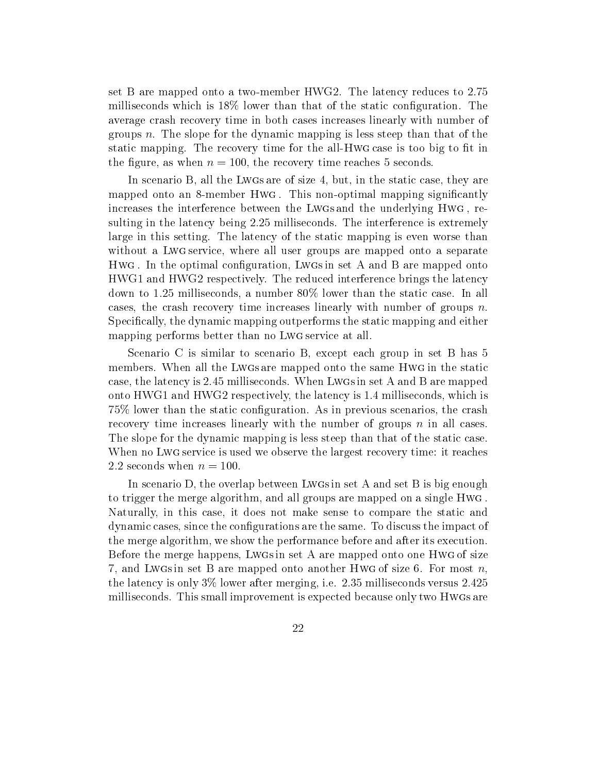set B are mapped onto a two-member HWG2. The latency reduces to 2.75 milliseconds which is 18% lower than that of the static conguration. The average crash recovery time in both cases increases linearly with number of groups n. The slope for the dynamic mapping is less steep than that of the static mapping. The recovery time for the all-HwG case is too big to fit in the figure, as when  $n = 100$ , the recovery time reaches 5 seconds.

In scenario B, all the Lwgs are of size 4, but, in the static case, they are mapped onto an 8-member Hwg. This non-optimal mapping significantly increases the interference between the Lwgs and the underlying Hwg , resulting in the latency being 2.25 milliseconds. The interference is extremely large in this setting. The latency of the static mapping is even worse than without a Lwg service, where all user groups are mapped onto a separate  $\ldots$  . In the optimal comparation,  $\ldots$  is a set  $\ldots$  and  $\ldots$  are mapped onto  $\ldots$ HWG1 and HWG2 respectively. The reduced interference brings the latency down to 1.25 milliseconds, a number 80% lower than the static case. In all cases, the crash recovery time increases linearly with number of groups  $n$ . Specifically, the dynamic mapping outperforms the static mapping and either mapping performs better than no Lwg service at all.

Scenario C is similar to scenario B, except each group in set B has 5 members. When all the Lwgs are mapped onto the same Hwg in the static case, the latency is 2.45 milliseconds. When Lwgs in set A and B are mapped onto HWG1 and HWG2 respectively, the latency is 1.4 milliseconds, which is 75% lower than the static conguration. As in previous scenarios, the crash recovery time increases linearly with the number of groups  $n$  in all cases. The slope for the dynamic mapping is less steep than that of the static case. When no Lwg service is used we observe the largest recovery time: it reaches 2.2 seconds when  $n = 100$ .

In scenario D, the overlap between Lwgs in set A and set B is big enough to trigger the merge algorithm, and all groups are mapped on a single Hwg . Naturally, in this case, it does not make sense to compare the static and dynamic cases, since the congurations are the same. To discuss the impact of the merge algorithm, we show the performance before and after its execution. Before the merge happens, Lwgs in set A are mapped onto one Hwg of size 7, and Lwgs in set B are mapped onto another Hwg of size 6. For most  $n$ , the latency is only 3% lower after merging, i.e. 2.35 milliseconds versus 2.425 milliseconds. This small improvement is expected because only two Hwgs are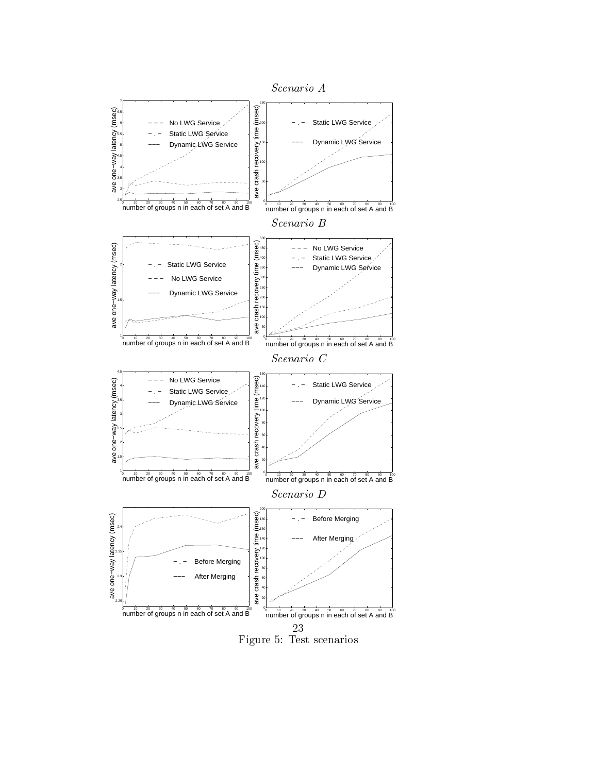

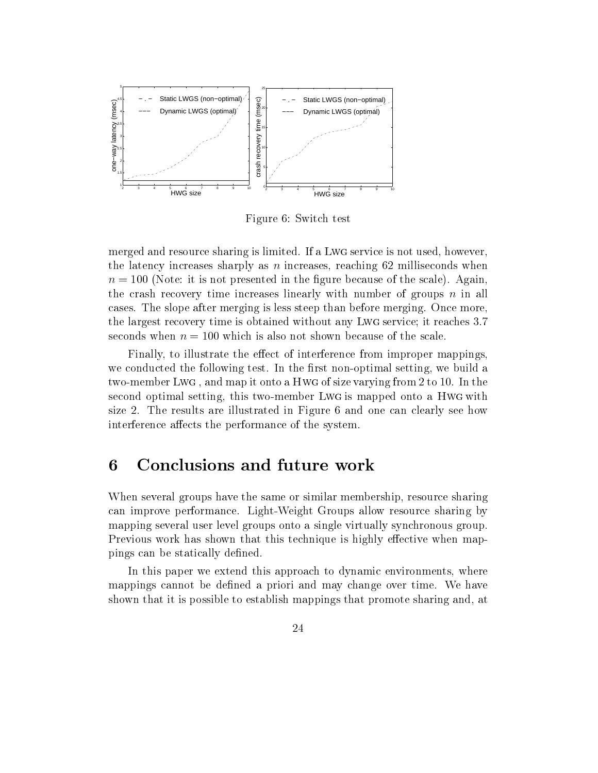

Figure 6: Switch test

merged and resource sharing is limited. If a Lwg service is not used, however, the latency increases sharply as  $n$  increases, reaching 62 milliseconds when  $n = 100$  (Note: it is not presented in the figure because of the scale). Again the crash recovery time increases linearly with number of groups  $n$  in all cases. The slope after merging is less steep than before merging. Once more, the largest recovery time is obtained without any Lwg service; it reaches 3.7 seconds when  $n = 100$  which is also not shown because of the scale.

Finally, to illustrate the effect of interference from improper mappings, we conducted the following test. In the first non-optimal setting, we build a two-member Lwg , and map it onto a Hwg of size varying from 2 to 10. In the second optimal setting, this two-member Lwg is mapped onto a Hwg with size 2.The results are illustrated in Figure 6 and one can clearly see how interference affects the performance of the system.

# Conclusions and future work

When several groups have the same or similar membership, resource sharing can improve performance. Light-Weight Groups allow resource sharing by mapping several user level groups onto a single virtually synchronous group. Previous work has shown that this technique is highly effective when mappings can be statically defined.

In this paper we extend this approach to dynamic environments, where mappings cannot be defined a priori and may change over time. We have shown that it is possible to establish mappings that promote sharing and, at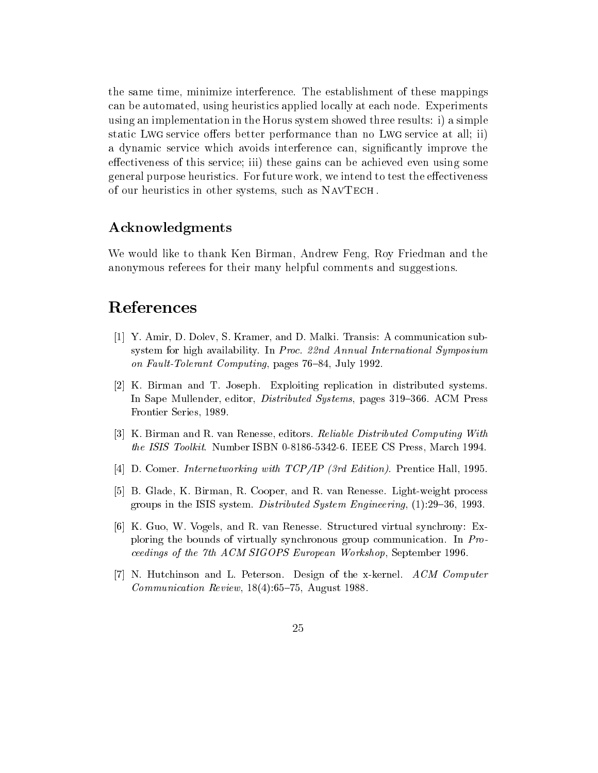the same time, minimize interference. The establishment of these mappings can be automated, using heuristics applied locally at each node. Experiments using an implementation in the Horus system showed three results: i) a simple static Lwg service offers better performance than no Lwg service at all; ii) a dynamic service which avoids interference can, signicantly improve the effectiveness of this service; iii) these gains can be achieved even using some general purpose heuristics. For future work, we intend to test the effectiveness of our heuristics in other systems, such as NavTech .

### Acknowledgments

We would like to thank Ken Birman, Andrew Feng, Roy Friedman and the anonymous referees for their many helpful comments and suggestions.

# References

- [1] Y. Amir, D. Dolev, S. Kramer, and D. Malki. Transis: A communication subsystem for high availability. In Proc. 22nd Annual International Symposium on Fault-Tolerant Computing, pages 76-84, July 1992.
- [2] K. Birman and T. Joseph. Exploiting replication in distributed systems. In Sape Mullender, editor, *Distributed Systems*, pages 319–366. ACM Press Frontier Series, 1989.
- [3] K. Birman and R. van Renesse, editors. Reliable Distributed Computing With the ISIS Toolkit. Number ISBN 0-8186-5342-6. IEEE CS Press, March 1994.
- [4] D. Comer. Internetworking with TCP/IP (3rd Edition). Prentice Hall, 1995.
- [5] B. Glade, K. Birman, R. Cooper, and R. van Renesse. Light-weight process groups in the ISIS system. Distributed System Engineering,  $(1):29-36, 1993$ .
- [6] K. Guo, W. Vogels, and R. van Renesse. Structured virtual synchrony: Exploring the bounds of virtually synchronous group communication. In Proceedings of the 7th ACM SIGOPS European Workshop, September 1996.
- [7] N. Hutchinson and L. Peterson. Design of the x-kernel. ACM Computer *Communication Review*,  $18(4):65-75$ , August 1988.